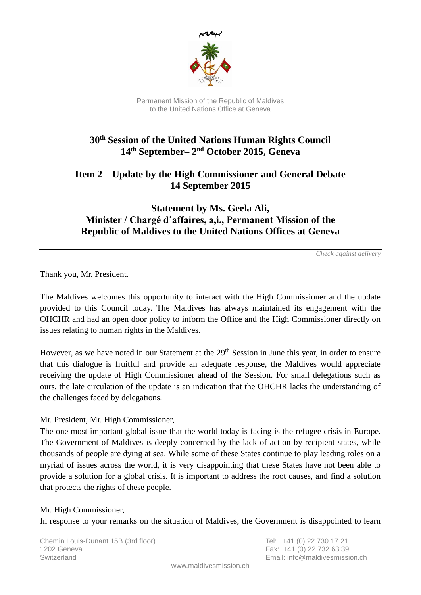

Permanent Mission of the Republic of Maldives to the United Nations Office at Geneva

# **30th Session of the United Nations Human Rights Council 14th September– 2 nd October 2015, Geneva**

## **Item 2 – Update by the High Commissioner and General Debate 14 September 2015**

### **Statement by Ms. Geela Ali, Minister / Chargé d'affaires, a,i., Permanent Mission of the Republic of Maldives to the United Nations Offices at Geneva**

*Check against delivery*

Thank you, Mr. President.

The Maldives welcomes this opportunity to interact with the High Commissioner and the update provided to this Council today. The Maldives has always maintained its engagement with the OHCHR and had an open door policy to inform the Office and the High Commissioner directly on issues relating to human rights in the Maldives.

However, as we have noted in our Statement at the 29<sup>th</sup> Session in June this year, in order to ensure that this dialogue is fruitful and provide an adequate response, the Maldives would appreciate receiving the update of High Commissioner ahead of the Session. For small delegations such as ours, the late circulation of the update is an indication that the OHCHR lacks the understanding of the challenges faced by delegations.

#### Mr. President, Mr. High Commissioner,

The one most important global issue that the world today is facing is the refugee crisis in Europe. The Government of Maldives is deeply concerned by the lack of action by recipient states, while thousands of people are dying at sea. While some of these States continue to play leading roles on a myriad of issues across the world, it is very disappointing that these States have not been able to provide a solution for a global crisis. It is important to address the root causes, and find a solution that protects the rights of these people.

#### Mr. High Commissioner,

In response to your remarks on the situation of Maldives, the Government is disappointed to learn

Chemin Louis-Dunant 15B (3rd floor) Tel: +41 (0) 22 730 17 21 1202 Geneva Fax: +41 (0) 22 732 63 39 Switzerland Email: info@maldivesmission.ch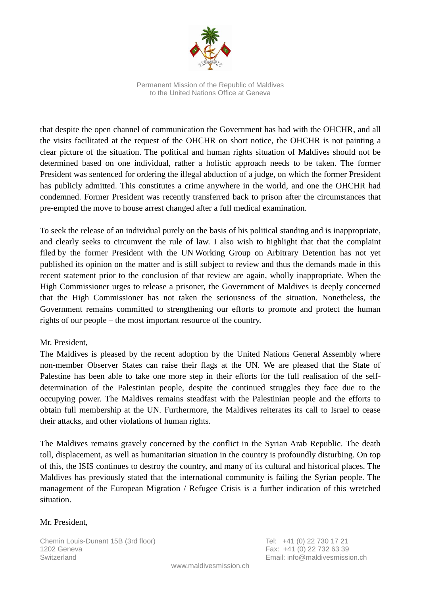

Permanent Mission of the Republic of Maldives to the United Nations Office at Geneva

that despite the open channel of communication the Government has had with the OHCHR, and all the visits facilitated at the request of the OHCHR on short notice, the OHCHR is not painting a clear picture of the situation. The political and human rights situation of Maldives should not be determined based on one individual, rather a holistic approach needs to be taken. The former President was sentenced for ordering the illegal abduction of a judge, on which the former President has publicly admitted. This constitutes a crime anywhere in the world, and one the OHCHR had condemned. Former President was recently transferred back to prison after the circumstances that pre-empted the move to house arrest changed after a full medical examination.

To seek the release of an individual purely on the basis of his political standing and is inappropriate, and clearly seeks to circumvent the rule of law. I also wish to highlight that that the complaint filed by the former President with the UN Working Group on Arbitrary Detention has not yet published its opinion on the matter and is still subject to review and thus the demands made in this recent statement prior to the conclusion of that review are again, wholly inappropriate. When the High Commissioner urges to release a prisoner, the Government of Maldives is deeply concerned that the High Commissioner has not taken the seriousness of the situation. Nonetheless, the Government remains committed to strengthening our efforts to promote and protect the human rights of our people – the most important resource of the country.

#### Mr. President,

The Maldives is pleased by the recent adoption by the United Nations General Assembly where non-member Observer States can raise their flags at the UN. We are pleased that the State of Palestine has been able to take one more step in their efforts for the full realisation of the selfdetermination of the Palestinian people, despite the continued struggles they face due to the occupying power. The Maldives remains steadfast with the Palestinian people and the efforts to obtain full membership at the UN. Furthermore, the Maldives reiterates its call to Israel to cease their attacks, and other violations of human rights.

The Maldives remains gravely concerned by the conflict in the Syrian Arab Republic. The death toll, displacement, as well as humanitarian situation in the country is profoundly disturbing. On top of this, the ISIS continues to destroy the country, and many of its cultural and historical places. The Maldives has previously stated that the international community is failing the Syrian people. The management of the European Migration / Refugee Crisis is a further indication of this wretched situation.

#### Mr. President,

Chemin Louis-Dunant 15B (3rd floor) Tel: +41 (0) 22 730 17 21 1202 Geneva Fax: +41 (0) 22 732 63 39 Switzerland Email: info@maldivesmission.ch